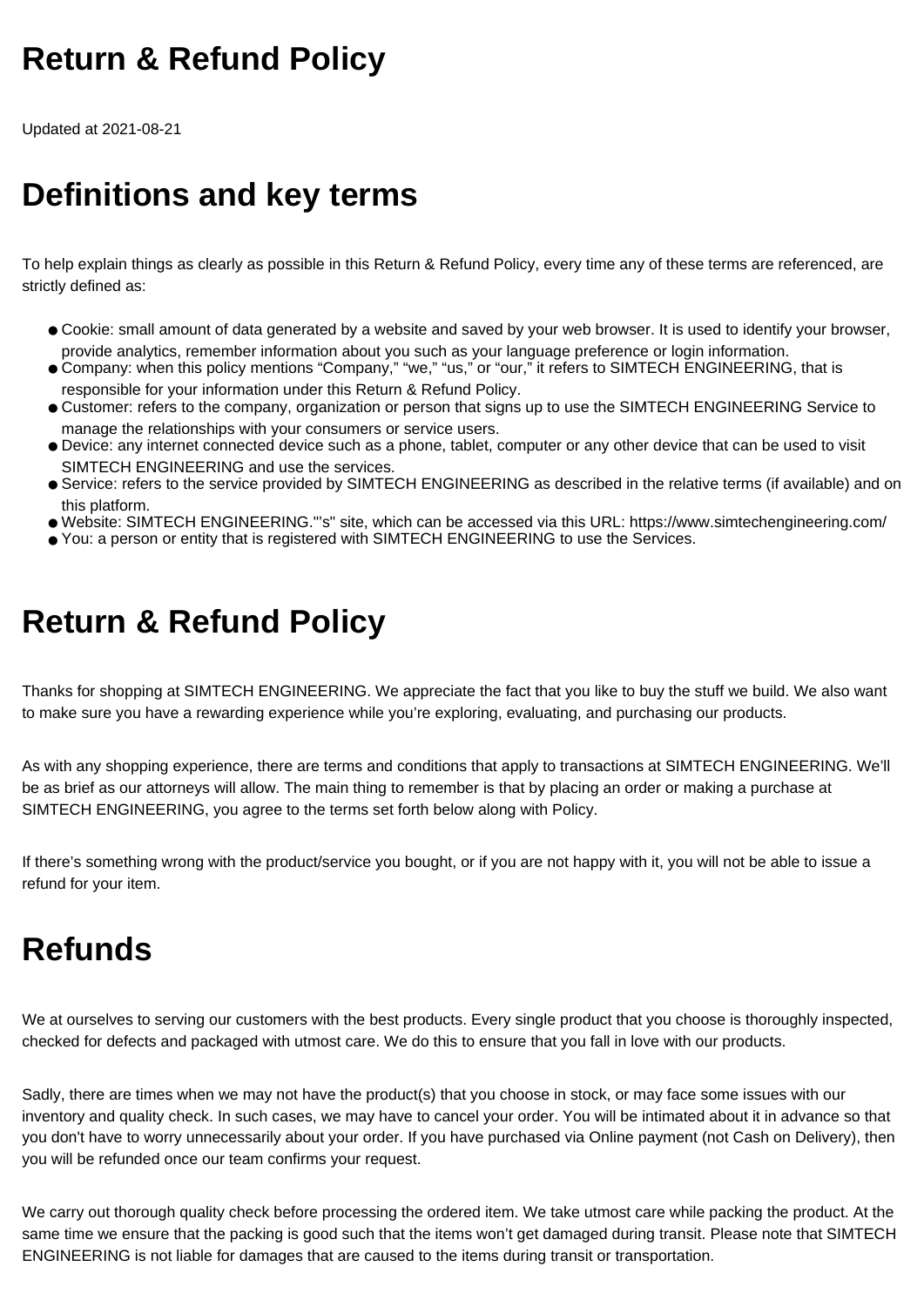### **Return & Refund Policy**

Updated at 2021-08-21

## **Definitions and key terms**

To help explain things as clearly as possible in this Return & Refund Policy, every time any of these terms are referenced, are strictly defined as:

- Cookie: small amount of data generated by a website and saved by your web browser. It is used to identify your browser, provide analytics, remember information about you such as your language preference or login information.
- Company: when this policy mentions "Company," "we," "us," or "our," it refers to SIMTECH ENGINEERING, that is responsible for your information under this Return & Refund Policy.
- Customer: refers to the company, organization or person that signs up to use the SIMTECH ENGINEERING Service to manage the relationships with your consumers or service users.
- Device: any internet connected device such as a phone, tablet, computer or any other device that can be used to visit SIMTECH ENGINEERING and use the services.
- Service: refers to the service provided by SIMTECH ENGINEERING as described in the relative terms (if available) and on this platform.
- Website: SIMTECH ENGINEERING."'s" site, which can be accessed via this URL: https://www.simtechengineering.com/
- You: a person or entity that is registered with SIMTECH ENGINEERING to use the Services.

## **Return & Refund Policy**

Thanks for shopping at SIMTECH ENGINEERING. We appreciate the fact that you like to buy the stuff we build. We also want to make sure you have a rewarding experience while you're exploring, evaluating, and purchasing our products.

As with any shopping experience, there are terms and conditions that apply to transactions at SIMTECH ENGINEERING. We'll be as brief as our attorneys will allow. The main thing to remember is that by placing an order or making a purchase at SIMTECH ENGINEERING, you agree to the terms set forth below along with Policy.

If there's something wrong with the product/service you bought, or if you are not happy with it, you will not be able to issue a refund for your item.

# **Refunds**

We at ourselves to serving our customers with the best products. Every single product that you choose is thoroughly inspected, checked for defects and packaged with utmost care. We do this to ensure that you fall in love with our products.

Sadly, there are times when we may not have the product(s) that you choose in stock, or may face some issues with our inventory and quality check. In such cases, we may have to cancel your order. You will be intimated about it in advance so that you don't have to worry unnecessarily about your order. If you have purchased via Online payment (not Cash on Delivery), then you will be refunded once our team confirms your request.

We carry out thorough quality check before processing the ordered item. We take utmost care while packing the product. At the same time we ensure that the packing is good such that the items won't get damaged during transit. Please note that SIMTECH ENGINEERING is not liable for damages that are caused to the items during transit or transportation.